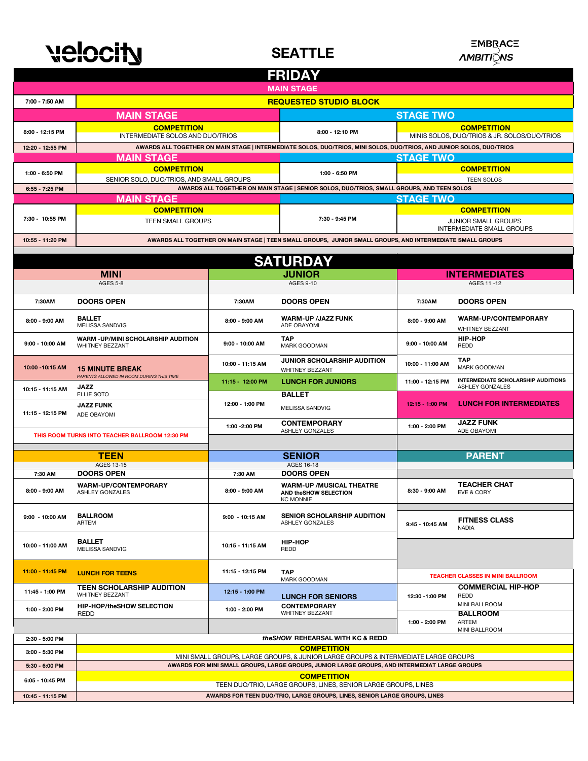## velocity

**SEATTLE**

## **ΞMBRACE**<br>*AMBITI</del></del></u>NS*

| <b>FRIDAY</b>                                   |                                                                                                                                                                                     |                                                                                                           |                                                                               |                                                                    |                                                       |  |  |  |
|-------------------------------------------------|-------------------------------------------------------------------------------------------------------------------------------------------------------------------------------------|-----------------------------------------------------------------------------------------------------------|-------------------------------------------------------------------------------|--------------------------------------------------------------------|-------------------------------------------------------|--|--|--|
| <b>MAIN STAGE</b>                               |                                                                                                                                                                                     |                                                                                                           |                                                                               |                                                                    |                                                       |  |  |  |
| <b>REQUESTED STUDIO BLOCK</b><br>7:00 - 7:50 AM |                                                                                                                                                                                     |                                                                                                           |                                                                               |                                                                    |                                                       |  |  |  |
|                                                 | <b>MAIN STAGE</b>                                                                                                                                                                   |                                                                                                           |                                                                               | <b>STAGE TWO</b>                                                   |                                                       |  |  |  |
| 8:00 - 12:15 PM                                 | <b>COMPETITION</b><br>INTERMEDIATE SOLOS AND DUO/TRIOS                                                                                                                              |                                                                                                           | 8:00 - 12:10 PM                                                               | <b>COMPETITION</b><br>MINIS SOLOS, DUO/TRIOS & JR. SOLOS/DUO/TRIOS |                                                       |  |  |  |
| 12:20 - 12:55 PM                                | AWARDS ALL TOGETHER ON MAIN STAGE   INTERMEDIATE SOLOS, DUO/TRIOS, MINI SOLOS, DUO/TRIOS, AND JUNIOR SOLOS, DUO/TRIOS                                                               |                                                                                                           |                                                                               |                                                                    |                                                       |  |  |  |
| <b>STAGE TWO</b><br><b>MAIN STAGE</b>           |                                                                                                                                                                                     |                                                                                                           |                                                                               |                                                                    |                                                       |  |  |  |
| 1:00 - 6:50 PM                                  | <b>COMPETITION</b>                                                                                                                                                                  |                                                                                                           | <b>COMPETITION</b><br>1:00 - 6:50 PM                                          |                                                                    |                                                       |  |  |  |
|                                                 | SENIOR SOLO, DUO/TRIOS, AND SMALL GROUPS                                                                                                                                            |                                                                                                           | <b>TEEN SOLOS</b>                                                             |                                                                    |                                                       |  |  |  |
| 6:55 - 7:25 PM                                  | AWARDS ALL TOGETHER ON MAIN STAGE   SENIOR SOLOS, DUO/TRIOS, SMALL GROUPS, AND TEEN SOLOS<br><b>STAGE TWO</b><br><b>MAIN STAGE</b>                                                  |                                                                                                           |                                                                               |                                                                    |                                                       |  |  |  |
|                                                 | <b>COMPETITION</b>                                                                                                                                                                  |                                                                                                           |                                                                               |                                                                    | <b>COMPETITION</b>                                    |  |  |  |
| 7:30 - 10:55 PM                                 | TEEN SMALL GROUPS                                                                                                                                                                   |                                                                                                           | 7:30 - 9:45 PM                                                                | JUNIOR SMALL GROUPS<br>INTERMEDIATE SMALL GROUPS                   |                                                       |  |  |  |
| 10:55 - 11:20 PM                                |                                                                                                                                                                                     | AWARDS ALL TOGETHER ON MAIN STAGE   TEEN SMALL GROUPS, JUNIOR SMALL GROUPS, AND INTERMEDIATE SMALL GROUPS |                                                                               |                                                                    |                                                       |  |  |  |
|                                                 |                                                                                                                                                                                     |                                                                                                           |                                                                               |                                                                    |                                                       |  |  |  |
|                                                 |                                                                                                                                                                                     |                                                                                                           | <b>SATURDAY</b>                                                               |                                                                    |                                                       |  |  |  |
|                                                 | <b>MINI</b>                                                                                                                                                                         | <b>JUNIOR</b>                                                                                             |                                                                               | <b>INTERMEDIATES</b>                                               |                                                       |  |  |  |
|                                                 | <b>AGES 5-8</b>                                                                                                                                                                     |                                                                                                           | AGES 9-10                                                                     | AGES 11-12                                                         |                                                       |  |  |  |
| 7:30AM                                          | <b>DOORS OPEN</b>                                                                                                                                                                   | 7:30AM                                                                                                    | <b>DOORS OPEN</b>                                                             | 7:30AM                                                             | <b>DOORS OPEN</b>                                     |  |  |  |
| 8:00 - 9:00 AM                                  | <b>BALLET</b><br>MELISSA SANDVIG                                                                                                                                                    | 8:00 - 9:00 AM                                                                                            | <b>WARM-UP /JAZZ FUNK</b><br>ADE OBAYOMI                                      | 8:00 - 9:00 AM                                                     | WARM-UP/CONTEMPORARY<br>WHITNEY BEZZANT               |  |  |  |
| 9:00 - 10:00 AM                                 | <b>WARM -UP/MINI SCHOLARSHIP AUDITION</b><br>WHITNEY BEZZANT                                                                                                                        | 9:00 - 10:00 AM                                                                                           | <b>TAP</b><br>MARK GOODMAN                                                    | 9:00 - 10:00 AM                                                    | <b>HIP-HOP</b><br>REDD                                |  |  |  |
| 10:00 - 10:15 AM                                | <b>15 MINUTE BREAK</b>                                                                                                                                                              | 10:00 - 11:15 AM                                                                                          | JUNIOR SCHOLARSHIP AUDITION<br>WHITNEY BEZZANT                                | 10:00 - 11:00 AM                                                   | <b>TAP</b><br><b>MARK GOODMAN</b>                     |  |  |  |
|                                                 | PARENTS ALLOWED IN ROOM DURING THIS TIME<br><b>JAZZ</b>                                                                                                                             | 11:15 - 12:00 PM                                                                                          | <b>LUNCH FOR JUNIORS</b>                                                      | 11:00 - 12:15 PM                                                   | INTERMEDIATE SCHOLARSHIP AUDITIONS<br>ASHLEY GONZALES |  |  |  |
| 10:15 - 11:15 AM                                | ELLIE SOTO                                                                                                                                                                          |                                                                                                           | <b>BALLET</b>                                                                 |                                                                    |                                                       |  |  |  |
| 11:15 - 12:15 PM                                | <b>JAZZ FUNK</b><br>ADE OBAYOMI                                                                                                                                                     | 12:00 - 1:00 PM                                                                                           | MELISSA SANDVIG                                                               | 12:15 - 1:00 PM                                                    | <b>LUNCH FOR INTERMEDIATES</b>                        |  |  |  |
|                                                 |                                                                                                                                                                                     |                                                                                                           | <b>CONTEMPORARY</b><br>ASHLEY GONZALES                                        | 1:00 - 2:00 PM                                                     | <b>JAZZ FUNK</b><br>ADE OBAYOMI                       |  |  |  |
|                                                 | THIS ROOM TURNS INTO TEACHER BALLROOM 12:30 PM                                                                                                                                      |                                                                                                           |                                                                               |                                                                    |                                                       |  |  |  |
|                                                 | <b>TEEN</b>                                                                                                                                                                         |                                                                                                           | <b>SENIOR</b>                                                                 |                                                                    | <b>PARENT</b>                                         |  |  |  |
|                                                 | AGES 13-15                                                                                                                                                                          |                                                                                                           | AGES 16-18                                                                    |                                                                    |                                                       |  |  |  |
| 7:30 AM<br>8:00 - 9:00 AM                       | <b>DOORS OPEN</b><br><b>WARM-UP/CONTEMPORARY</b><br>ASHLEY GONZALES                                                                                                                 | 7:30 AM<br>8:00 - 9:00 AM                                                                                 | <b>DOORS OPEN</b><br><b>WARM-UP /MUSICAL THEATRE</b><br>AND theSHOW SELECTION | 8:30 - 9:00 AM                                                     | <b>TEACHER CHAT</b><br>EVE & CORY                     |  |  |  |
| 9:00 - 10:00 AM                                 | <b>BALLROOM</b><br>ARTEM                                                                                                                                                            | 9:00 - 10:15 AM                                                                                           | <b>KC MONNIE</b><br><b>SENIOR SCHOLARSHIP AUDITION</b><br>ASHLEY GONZALES     | 9:45 - 10:45 AM                                                    | <b>FITNESS CLASS</b><br><b>NADIA</b>                  |  |  |  |
| 10:00 - 11:00 AM                                | <b>BALLET</b><br><b>MELISSA SANDVIG</b>                                                                                                                                             | 10:15 - 11:15 AM                                                                                          | <b>HIP-HOP</b><br>REDD                                                        |                                                                    |                                                       |  |  |  |
| 11:00 - 11:45 PM                                | <b>LUNCH FOR TEENS</b>                                                                                                                                                              | 11:15 - 12:15 PM                                                                                          | <b>TAP</b>                                                                    |                                                                    | <b>TEACHER CLASSES IN MINI BALLROOM</b>               |  |  |  |
| 11:45 - 1:00 PM                                 | <b>TEEN SCHOLARSHIP AUDITION</b>                                                                                                                                                    |                                                                                                           | MARK GOODMAN                                                                  |                                                                    | <b>COMMERCIAL HIP-HOP</b>                             |  |  |  |
| 1:00 - 2:00 PM                                  | WHITNEY BEZZANT<br><b>HIP-HOP/theSHOW SELECTION</b>                                                                                                                                 | 12:15 - 1:00 PM<br>1:00 - 2:00 PM                                                                         | <b>LUNCH FOR SENIORS</b><br><b>CONTEMPORARY</b>                               | 12:30 - 1:00 PM                                                    | REDD<br>MINI BALLROOM                                 |  |  |  |
|                                                 | REDD                                                                                                                                                                                |                                                                                                           | WHITNEY BEZZANT                                                               | 1:00 - 2:00 PM                                                     | <b>BALLROOM</b><br>ARTEM<br>MINI BALLROOM             |  |  |  |
| 2:30 - 5:00 PM                                  | the SHOW REHEARSAL WITH KC & REDD                                                                                                                                                   |                                                                                                           |                                                                               |                                                                    |                                                       |  |  |  |
| 3:00 - 5:30 PM                                  | <b>COMPETITION</b>                                                                                                                                                                  |                                                                                                           |                                                                               |                                                                    |                                                       |  |  |  |
| 5:30 - 6:00 PM                                  | MINI SMALL GROUPS, LARGE GROUPS, & JUNIOR LARGE GROUPS & INTERMEDIATE LARGE GROUPS<br>AWARDS FOR MINI SMALL GROUPS, LARGE GROUPS, JUNIOR LARGE GROUPS, AND INTERMEDIAT LARGE GROUPS |                                                                                                           |                                                                               |                                                                    |                                                       |  |  |  |
|                                                 | <b>COMPETITION</b>                                                                                                                                                                  |                                                                                                           |                                                                               |                                                                    |                                                       |  |  |  |
| 6:05 - 10:45 PM                                 | TEEN DUO/TRIO, LARGE GROUPS, LINES, SENIOR LARGE GROUPS, LINES                                                                                                                      |                                                                                                           |                                                                               |                                                                    |                                                       |  |  |  |
| 10:45 - 11:15 PM                                | AWARDS FOR TEEN DUO/TRIO, LARGE GROUPS, LINES, SENIOR LARGE GROUPS, LINES                                                                                                           |                                                                                                           |                                                                               |                                                                    |                                                       |  |  |  |